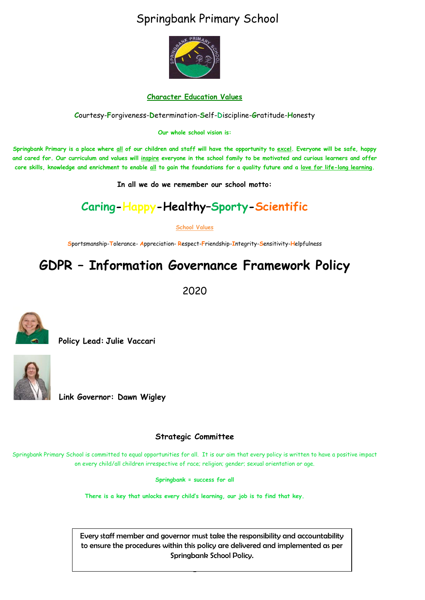## Springbank Primary School



#### **Character Education Values**

**C**ourtesy-**F**orgiveness-**D**etermination-**S**elf-**D**iscipline-**G**ratitude-**H**onesty

**Our whole school vision is:**

**Springbank Primary is a place where all of our children and staff will have the opportunity to excel. Everyone will be safe, happy and cared for. Our curriculum and values will inspire everyone in the school family to be motivated and curious learners and offer core skills, knowledge and enrichment to enable all to gain the foundations for a quality future and a love for life-long learning.**

**In all we do we remember our school motto:**

## **Caring-Happy-Healthy–Sporty-Scientific**

**School Values**

**S**portsmanship-**T**olerance- **A**ppreciation- **R**espect-**F**riendship-**I**ntegrity-**S**ensitivity-**H**elpfulness

## **GDPR – Information Governance Framework Policy**

2020



 **Policy Lead: Julie Vaccari**



**Link Governor: Dawn Wigley** 

#### **Strategic Committee**

Springbank Primary School is committed to equal opportunities for all. It is our aim that every policy is written to have a positive impact on every child/all children irrespective of race; religion; gender; sexual orientation or age.

**Springbank = success for all**

**There is a key that unlocks every child's learning, our job is to find that key.**

-

Every staff member and governor must take the responsibility and accountability to ensure the procedures within this policy are delivered and implemented as per Springbank School Policy.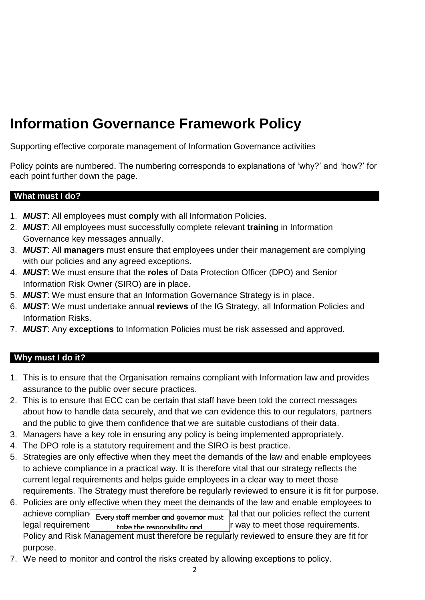# **Information Governance Framework Policy**

Supporting effective corporate management of Information Governance activities

Policy points are numbered. The numbering corresponds to explanations of 'why?' and 'how?' for each point further down the page.

#### **What must I do?**

- 1. *MUST*: All employees must **comply** with all Information Policies.
- 2. *MUST*: All employees must successfully complete relevant **training** in Information Governance key messages annually.
- 3. *MUST*: All **managers** must ensure that employees under their management are complying with our policies and any agreed exceptions.
- 4. *MUST*: We must ensure that the **roles** of Data Protection Officer (DPO) and Senior Information Risk Owner (SIRO) are in place.
- 5. *MUST*: We must ensure that an Information Governance Strategy is in place.
- 6. *MUST*: We must undertake annual **reviews** of the IG Strategy, all Information Policies and Information Risks.
- 7. *MUST*: Any **exceptions** to Information Policies must be risk assessed and approved.

#### **Why must I do it?**

- 1. This is to ensure that the Organisation remains compliant with Information law and provides assurance to the public over secure practices.
- 2. This is to ensure that ECC can be certain that staff have been told the correct messages about how to handle data securely, and that we can evidence this to our regulators, partners and the public to give them confidence that we are suitable custodians of their data.
- 3. Managers have a key role in ensuring any policy is being implemented appropriately.
- 4. The DPO role is a statutory requirement and the SIRO is best practice.
- 5. Strategies are only effective when they meet the demands of the law and enable employees to achieve compliance in a practical way. It is therefore vital that our strategy reflects the current legal requirements and helps guide employees in a clear way to meet those requirements. The Strategy must therefore be regularly reviewed to ensure it is fit for purpose.
- 6. Policies are only effective when they meet the demands of the law and enable employees to achieve complian  $\epsilon_{\text{very staff member and governor must}}$  and that our policies reflect the current legal requirement  $\mathbf{r}_{\mathbf{a}}$  take the responsibility and  $\mathbf{r}_{\mathbf{a}}$  way to meet those requirements. Policy and Risk Management must therefore be regularly reviewed to ensure they are fit for purpose. take the responsibility and
- 7. We need to monitor and control the risks created by allowing exceptions to policy.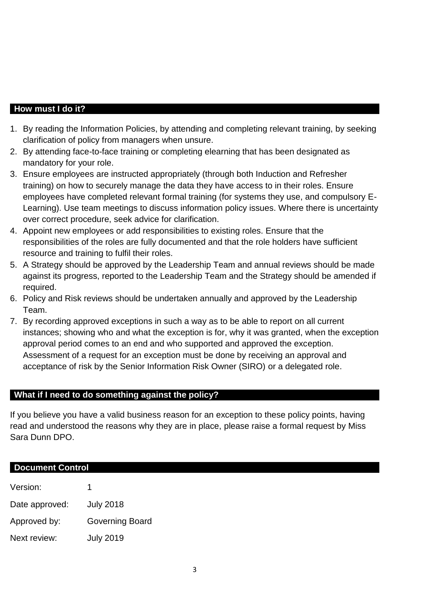#### **How must I do it?**

- 1. By reading the Information Policies, by attending and completing relevant training, by seeking clarification of policy from managers when unsure.
- 2. By attending face-to-face training or completing elearning that has been designated as mandatory for your role.
- 3. Ensure employees are instructed appropriately (through both Induction and Refresher training) on how to securely manage the data they have access to in their roles. Ensure employees have completed relevant formal training (for systems they use, and compulsory E-Learning). Use team meetings to discuss information policy issues. Where there is uncertainty over correct procedure, seek advice for clarification.
- 4. Appoint new employees or add responsibilities to existing roles. Ensure that the responsibilities of the roles are fully documented and that the role holders have sufficient resource and training to fulfil their roles.
- 5. A Strategy should be approved by the Leadership Team and annual reviews should be made against its progress, reported to the Leadership Team and the Strategy should be amended if required.
- 6. Policy and Risk reviews should be undertaken annually and approved by the Leadership Team.
- 7. By recording approved exceptions in such a way as to be able to report on all current instances; showing who and what the exception is for, why it was granted, when the exception approval period comes to an end and who supported and approved the exception. Assessment of a request for an exception must be done by receiving an approval and acceptance of risk by the Senior Information Risk Owner (SIRO) or a delegated role.

#### **What if I need to do something against the policy?**

If you believe you have a valid business reason for an exception to these policy points, having read and understood the reasons why they are in place, please raise a formal request by Miss Sara Dunn DPO.

#### **Document Control**

| Version:       | 1                |
|----------------|------------------|
| Date approved: | <b>July 2018</b> |
| Approved by:   | Governing Board  |
| Next review:   | <b>July 2019</b> |